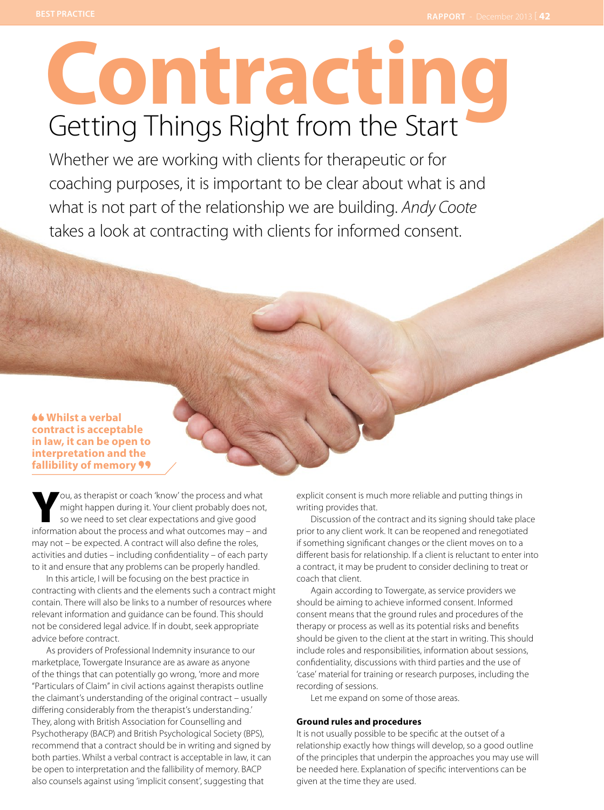# **Contracting** Getting Things Right from the Start

Whether we are working with clients for therapeutic or for coaching purposes, it is important to be clear about what is and what is not part of the relationship we are building. *Andy Coote* takes a look at contracting with clients for informed consent.

# **Whilst a verbal contract is acceptable in law, it can be open to interpretation and the fallibility of memory**

You, as therapist or coach 'know' the process and what might happen during it. Your client probably does not, so we need to set clear expectations and give good information about the process and what outcomes may – and may not – be expected. A contract will also define the roles, activities and duties – including confidentiality – of each party to it and ensure that any problems can be properly handled.

In this article, I will be focusing on the best practice in contracting with clients and the elements such a contract might contain. There will also be links to a number of resources where relevant information and guidance can be found. This should not be considered legal advice. If in doubt, seek appropriate advice before contract.

As providers of Professional Indemnity insurance to our marketplace, Towergate Insurance are as aware as anyone of the things that can potentially go wrong, 'more and more "Particulars of Claim" in civil actions against therapists outline the claimant's understanding of the original contract – usually differing considerably from the therapist's understanding.' They, along with British Association for Counselling and Psychotherapy (BACP) and British Psychological Society (BPS), recommend that a contract should be in writing and signed by both parties. Whilst a verbal contract is acceptable in law, it can be open to interpretation and the fallibility of memory. BACP also counsels against using 'implicit consent', suggesting that

explicit consent is much more reliable and putting things in writing provides that.

Discussion of the contract and its signing should take place prior to any client work. It can be reopened and renegotiated if something significant changes or the client moves on to a different basis for relationship. If a client is reluctant to enter into a contract, it may be prudent to consider declining to treat or coach that client.

Again according to Towergate, as service providers we should be aiming to achieve informed consent. Informed consent means that the ground rules and procedures of the therapy or process as well as its potential risks and benefits should be given to the client at the start in writing. This should include roles and responsibilities, information about sessions, confidentiality, discussions with third parties and the use of 'case' material for training or research purposes, including the recording of sessions.

Let me expand on some of those areas.

## **Ground rules and procedures**

It is not usually possible to be specific at the outset of a relationship exactly how things will develop, so a good outline of the principles that underpin the approaches you may use will be needed here. Explanation of specific interventions can be given at the time they are used.